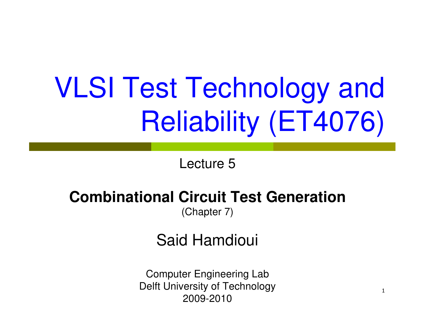# VLSI Test Technology and Reliability (ET4076)

Lecture 5

#### **Combinational Circuit Test Generation**

(Chapter 7)

Said Hamdioui

Computer Engineering Lab Delft University of Technology2009-2010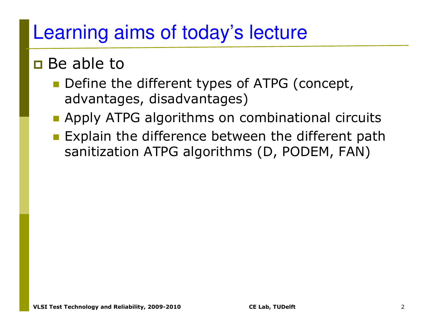### Learning aims of today's lecture

### **Be able to**

- Define the different types of ATPG (concept, advantages, disadvantages)
- **E** Apply ATPG algorithms on combinational circuits
- **Explain the difference between the different path** sanitization ATPG algorithms (D, PODEM, FAN)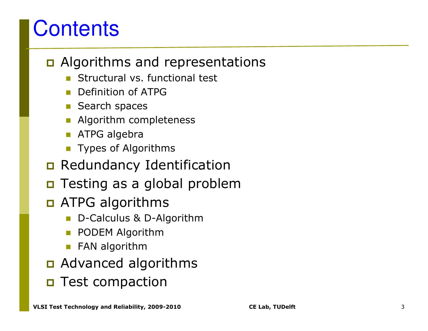### **Contents**

### **Q** Algorithms and representations

- **Structural vs. functional test**
- -Definition of ATPG
- Search spaces
- Algorithm completeness
- ATPG algebra
- **Types of Algorithms**
- n Redundancy Identification
- $\Box$ Testing as a global problem
- n ATPG algorithms
	- -D-Calculus & D-Algorithm
	- $\mathbb{R}^3$ PODEM Algorithm
	- **E** FAN algorithm
- n Advanced algorithms
- **O** Test compaction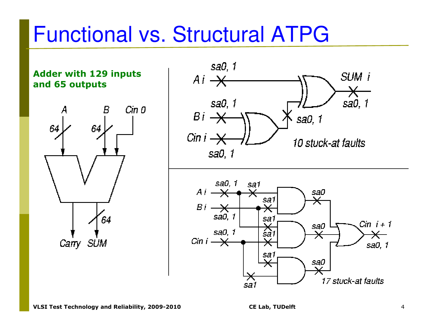### Functional vs. Structural ATPG

**Adder with 129 inputs and 65 outputs** 



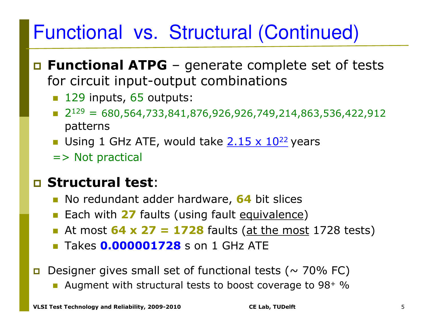### Functional vs. Structural (Continued)

- **Functional ATPG** generate complete set of tests<br>for circuit innut-output combinations for circuit input-output combinations
	- **129 inputs, 65 outputs:**
	- $\blacksquare$  2 $^{129}$  = 680,564,733,841,876,926,926,749,214,863,536,422,912 patterns
	- **Using 1 GHz ATE, would take 2.15 x 10<sup>22</sup> years**
	- => Not practical

### **Structural test**:

- **No redundant adder hardware, 64 bit slices**
- **Each with 27 faults (using fault equivalence)**
- **E** At most **64 x 27 = 1728** faults (at the most 1728 tests)
- Takes **0.000001728** s on 1 GHz ATE
- п Designer gives small set of functional tests ( $\sim$  70% FC)
	- Augment with structural tests to boost coverage to 98+ %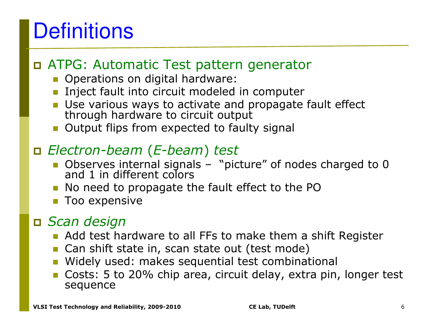## **Definitions**

### ATPG: Automatic Test pattern generator

- **Operations on digital hardware:**
- **EXTENCE THE INTERCT IN EXTENCE THE INTERCT EXTENCE THE INTERCTANCE IN EXTENCITE IN EXTENCITE IN EXTENCITE IN E**
- Use various ways to activate and propagate fault effect through hardware to circuit output
- **Output flips from expected to faulty signal**

### *Electron-beam*(*E-beam*) *test*

- Observes internal signals "picture" of nodes charged to 0 and 1 in different colors
- No need to propagate the fault effect to the PO
- Too expensive

### *Scan design*

- **Add test hardware to all FFs to make them a shift Register**<br>**Can shift state in scan state out (test mode)**
- Can shift state in, scan state out (test mode)
- **Nidely used: makes sequential test combinational**
- Costs: 5 to 20% chip area, circuit delay, extra pin, longer test sequence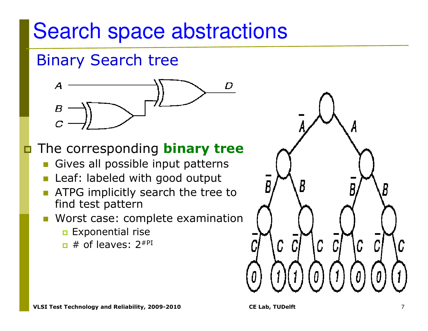### Search space abstractions

#### Binary Search tree



#### ◘ The corresponding **binary tree**

- Gives all possible input patterns
- Leaf: labeled with good output
- ATPG implicitly search the tree to find test pattern
- **Norst case: complete examination** 
	- **Exponential rise**
	- $\overline{\blacksquare}$  # of leaves: 2<sup>#PI</sup>

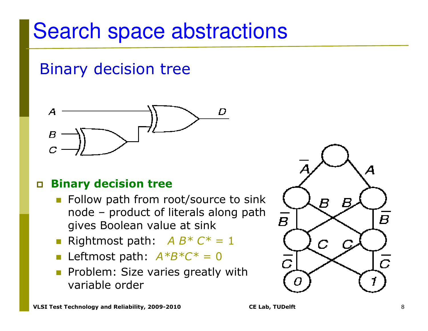### Search space abstractions

#### Binary decision tree



#### $\Box$ **Binary decision tree**

- **EXTEND Follow path from root/source to sink** node – product of literals along path gives Boolean value at sink
- **Rightmost path:**  $A B^* C^* = 1$
- -Leftmost path: *A\*B\*C\** = 0
- Problem: Size varies greatly with variable order

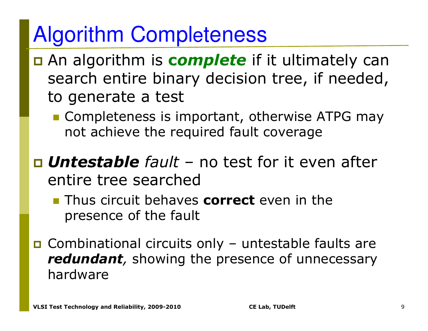### Algorithm Completeness

- An algorithm is **c***omplete* if it ultimately can search entire binary decision tree, if needed, to generate a test
	- **EXPENDIATE: Completeness is important, otherwise ATPG may** not achieve the required fault coverage
- *Untestable fault* no test for it even after entire tree searched
	- **Thus circuit behaves correct** even in the presence of the fault
- Combinational circuits only untestable faults are<br>**Fedundant** showing the presence of unnecessary *redundant,* showing the presence of unnecessary hardware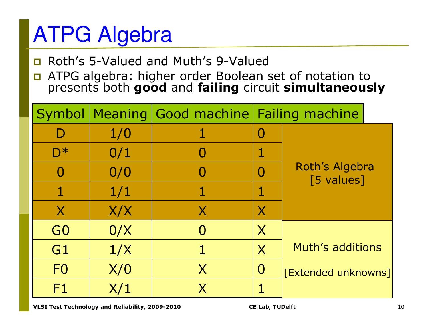## ATPG Algebra

- Roth's 5-Valued and Muth's 9-Valued
- $\Box$  ATPG algebra: higher order Boolean set of notation to presents both **good**and **failing** circuit **simultaneously**

| Symbol           |     |   | Meaning Good machine Failing machine |                              |  |
|------------------|-----|---|--------------------------------------|------------------------------|--|
| D                | 1/0 |   | $\mathbf{O}$                         |                              |  |
| $\overline{D^*}$ | 0/1 |   | 1                                    |                              |  |
|                  | 0/0 |   |                                      | Roth's Algebra<br>[5 values] |  |
|                  | 1/1 |   | $\mathbf{1}$                         |                              |  |
| $\mathsf{X}$     | X/X | X | X                                    |                              |  |
| G <sub>0</sub>   | 0/X |   | X                                    |                              |  |
| G <sub>1</sub>   | 1/X |   | $\overline{\mathsf{X}}$              | <b>Muth's additions</b>      |  |
| F <sub>0</sub>   | X/0 | X | $\bf{O}$                             | <b>[Extended unknowns]</b>   |  |
| F1               | X/1 |   |                                      |                              |  |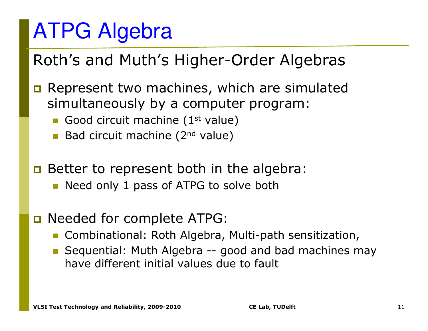### ATPG Algebra

#### Roth's and Muth's Higher-Order Algebras

- $\Box$  Represent two machines, which are simulated simultaneously by a computer program:
	- Good circuit machine (1<sup>st</sup> value)
	- **Bad circuit machine (2<sup>nd</sup> value)**
- Better to represent both in the algebra:
	- **Need only 1 pass of ATPG to solve both**
- n Needed for complete ATPG:
	- Combinational: Roth Algebra, Multi-path sensitization,
	- **Sequential: Muth Algebra -- good and bad machines may**<br>have different initial values due to fault have different initial values due to fault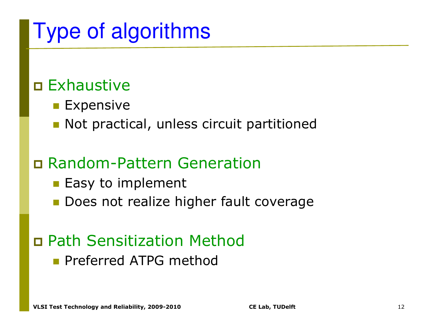### Type of algorithms

### Exhaustive

- $\blacksquare$  Expensive
- **Not practical, unless circuit partitioned**

### Random-Pattern Generation

- **Easy to implement**
- **Does not realize higher fault coverage**

### Path Sensitization Method

**E** Preferred ATPG method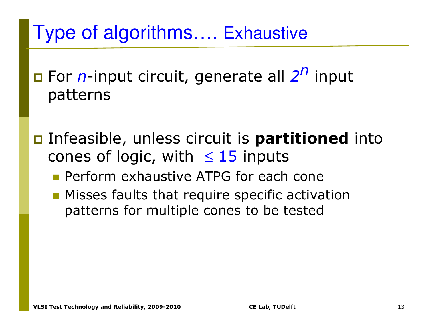### Type of algorithms…. Exhaustive

- For *n*-input circuit, generate all *2n* input patterns
- Infeasible, unless circuit is **partitioned** into cones of logic, with  $\leq 15$  inputs
	- **Perform exhaustive ATPG for each cone**
	- **Misses faults that require specific activation** patterns for multiple cones to be tested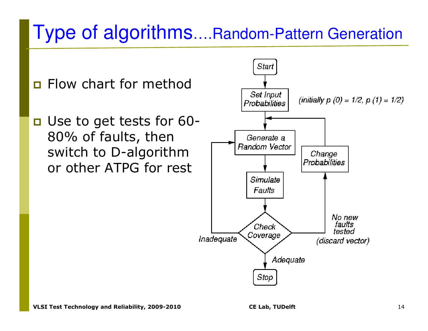### Type of algorithms….Random-Pattern Generation

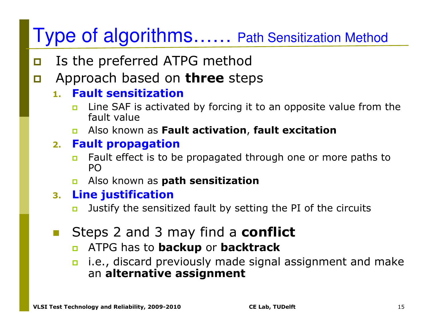- $\Box$ Is the preferred ATPG method
- $\Box$ Approach based on **three** steps

#### **1. Fault sensitization**

- **u** Line SAF is activated by forcing it to an opposite value from the П fault value
- Also known as **Fault activation**, **fault excitation**

#### **2. Fault propagation**

- **n** Fault effect is to be propagated through one or more paths to  $\Box$ PO
- Also known as **path sensitization**

#### **3. Line justification**

- **D** Justify the sensitized fault by setting the PI of the circuits п
- **E** Steps 2 and 3 may find a **conflict** 
	- $\Box$ ATPG has to **backup** or **backtrack**
	- **n** i.e., discard previously made signal assignment and make an **alternative assignment**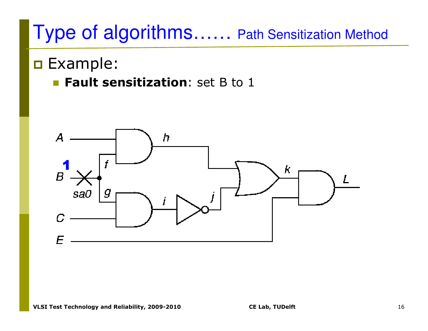### **o** Example:

**Example 1 Fault sensitization**: set B to 1

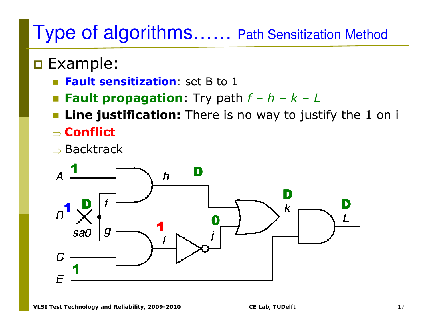### **o** Example:

- **Fault sensitization**: set B to 1
- **Example 1 Fault propagation:** Try path  $f h k L$ <br> **Example:** Finalist continues There is no work to just
- **Line justification:** There is no way to justify the 1 on i ⇒**Conflict**
- ⇒ $\Rightarrow$  Backtrack

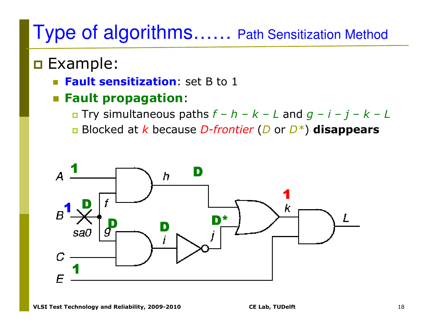### **o** Example:

- **Fault sensitization**: set B to 1
- **Fault propagation**:
	- Try simultaneous paths *f – h – k – <sup>L</sup>* and *g – i – j – k – <sup>L</sup>*
	- Blocked at *k* because *D-frontier* (*D* or *D\**) **disappears**

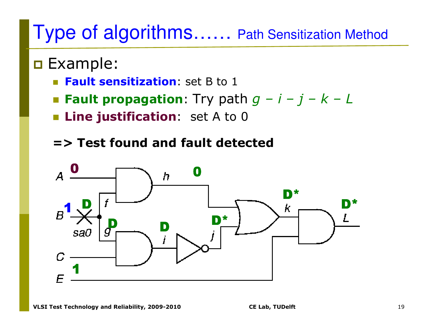### **o** Example:

- **Fault sensitization**: set B to 1
- **Example 1 and the Fault propagation:** Try path  $g i j k L$ <br> **Example:** Fine instification: set A to 0.
- **Example 2 Line justification:** set A to 0
- **=> Test found and fault detected**

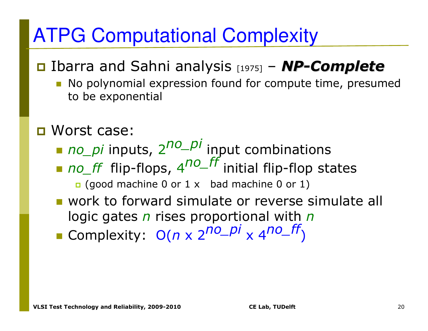### ATPG Computational Complexity

#### Ibarra and Sahni analysis [1975]<br>No polynomial expression found for –*NP-Complete*

- No polynomial expression found for compute time, presumed to be exponential
- **□** Worst case:
	- *no\_pi* inputs, <sup>2</sup>*no\_pi* input combinations
	- *no\_ff* flip-flops, <sup>4</sup>*no\_ff* initial flip-flop states□ (good machine 0 or 1 x bad machine 0 or 1)
	- **u** work to forward simulate or reverse simulate all logic gates *n* rises proportional with *n*
	- Complexity: O(*n*  x 2*no\_pi* x 4*no\_ff* )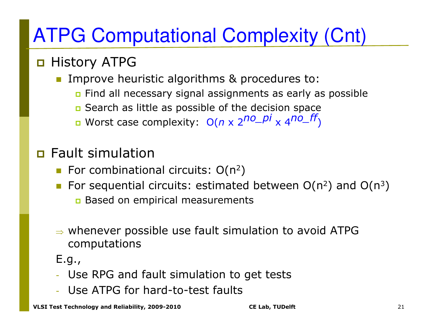### ATPG Computational Complexity (Cnt)

### History ATPG

**IMPROVE heuristic algorithms & procedures to:** -

- n Find all necessary signal assignments as early as possible
- Search as little as possible of the decision space
- Worst case complexity: O( *n*x 2*no\_pi* x 4*no\_ff* )

### n Fault simulation

- **For combinational circuits:**  $O(n^2)$
- For sequential circuits: estimated between  $O(n^2)$  and  $O(n^3)$ 
	- n Based on empirical measurements
- ⇒ whenever possible use fault simulation to avoid ATPG computations
- E.g.,
- Use RPG and fault simulation to get tests
- Use ATPG for hard-to-test faults

**VLSI Test Technology and Reliability, 2009-2010 CE Lab, TUDelft** <sup>21</sup>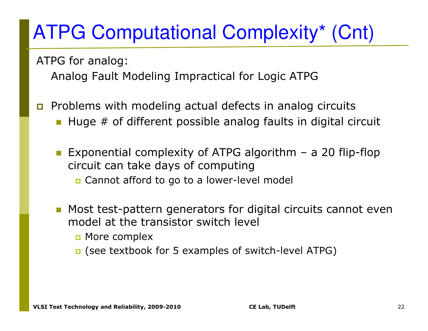### ATPG Computational Complexity\* (Cnt)

ATPG for analog:

Analog Fault Modeling Impractical for Logic ATPG

- $\Box$  Problems with modeling actual defects in analog circuits
	- -Huge # of different possible analog faults in digital circuit
	- Exponential complexity of ATPG algorithm a 20 flip-flop circuit can take days of computingCannot afford to go to a lower-level model
	- - Most test-pattern generators for digital circuits cannot even model at the transistor switch level
		- More complex
		- □ (see textbook for 5 examples of switch-level ATPG)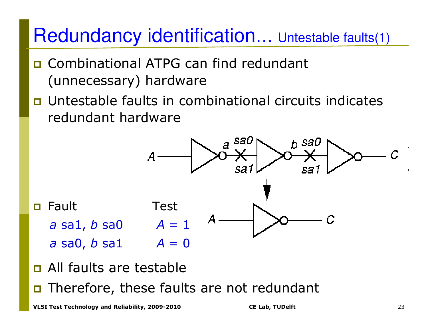#### Redundancy identification…Untestable faults(1)

- **Q** Combinational ATPG can find redundant (unnecessary) hardware
- П Untestable faults in combinational circuits indicates redundant hardware



- n All faults are testable
- $\blacksquare$  Therefore, these faults are not redundant

**VLSI Test Technology and Reliability, 2009-2010 CE Lab, TUDelft** <sup>23</sup>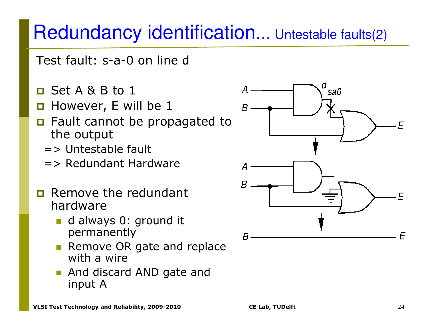#### Redundancy identification…... Untestable faults(2)

Test fault: s-a-0 on line d

- Set A & B to 1
- **n** However, E will be 1
- **n** Fault cannot be propagated to the output
	- => Untestable fault
	- => Redundant Hardware
- m. Remove the redundant hardware
	- d always 0: ground it permanently
	- Remove OR gate and replace with a wire
	- **And discard AND gate and** input A

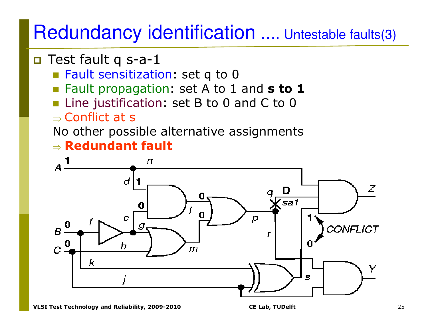#### Redundancy identificationn .... Untestable faults(3)

- □ Test fault q s-a-1
	- **Eault sensitization: set q to 0**
	- Fault propagation: set A to 1 and **s to 1**
	- Line justification: set B to 0 and C to 0 -
	- ⇒⇒ Conflict at s<br>Ne\_ether.pess

No other possible alternative assignments ⇒**Redundant fault**

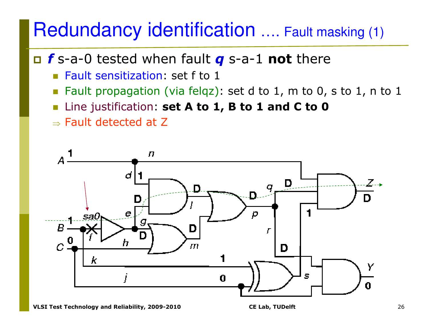#### Redundancy identification…. Fault masking (1)

### *f* s-a-0 tested when fault *q* s-a-1 **not** there

- **Example 1 Fault sensitization: set f to 1**
- Fault propagation (via felqz): set d to 1, m to 0, s to 1, n to 1
- $\left\vert \cdot\right\vert$ Line justification: **set A to 1, B to 1 and C to 0**
- $\Rightarrow$  Fault detected at Z

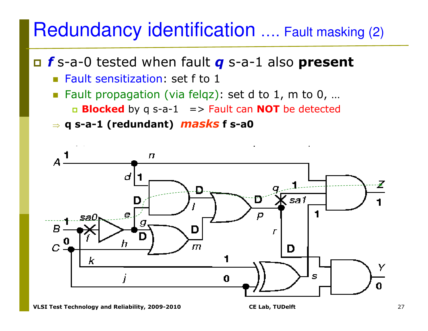#### Redundancy identification…. Fault masking (2)

*f* s-a-0 tested when fault *q* s-a-1 also **present**

- **Example 1 Fault sensitization: set f to 1**
- Fault propagation (via felqz): set d to 1, m to 0, ... **Blocked** by q s-a-1 => Fault can **NOT** be detected
- ⇒**q s-a-1 (redundant)** *masks* **f s-a0**

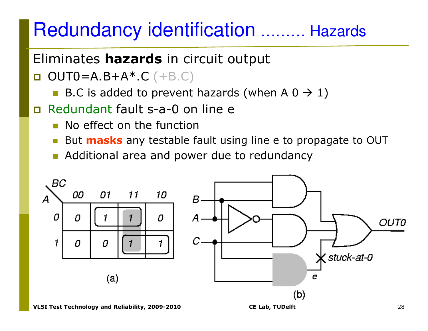#### Redundancy identificationn ……… Hazards

### Eliminates **hazards** in circuit output

- $\Box$  $OUT0=A.B+A*.C (+B.C)$ 
	- **B.C** is added to prevent hazards (when  $A$  0  $\rightarrow$  1)
- Redundant fault s-a-0 on line e
	- **No effect on the function**
	- **But masks** any testable fault using line e to propagate to OUT
	- **Additional area and power due to redundancy**

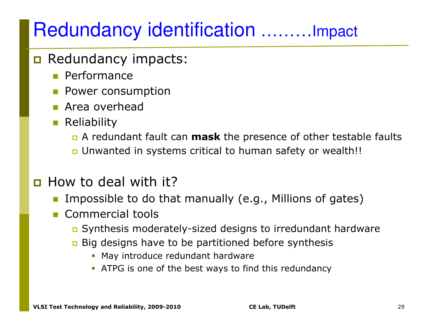## Redundancy identification ………Impact

- B Redundancy impacts:
	- Performance
	- **Power consumption**
	- Area overhead
	- **E** Reliability
		- A redundant fault can **mask** the presence of other testable faults
		- n Unwanted in systems critical to human safety or wealth!!
- **D** How to deal with it?
	- -Impossible to do that manually (e.g., Millions of gates)
	- - Commercial tools
		- Synthesis moderately-sized designs to irredundant hardware
		- Big designs have to be partitioned before synthesis
			- May introduce redundant hardware
			- ATPG is one of the best ways to find this redundancy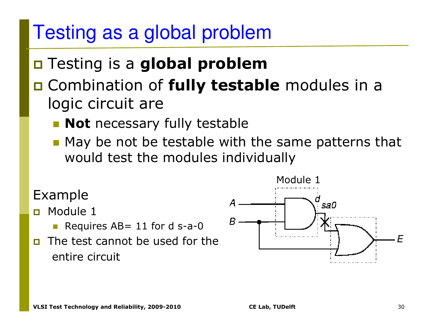### Testing as a global problem

## Testing is a **global problem**

#### Combination of **fully testable** modules in a logic circuit are

- **Rot** necessary fully testable
- **-** May be not be testable with the same patterns that would test the modules individually

#### Example

 $\Box$ Module 1

- Requires AB= 11 for d s-a-0
- **n** The test cannot be used for the  $\Box$ entire circuit

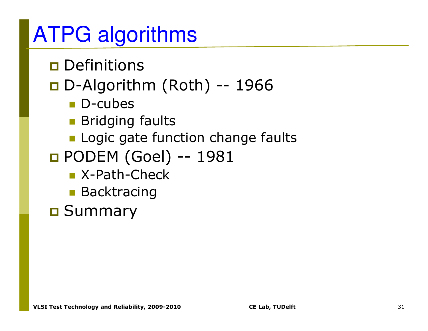### ATPG algorithms

**o** Definitions

# D-Algorithm (Roth) -- <sup>1966</sup>

- D-cubes
- **R** Bridging faults
- **E** Logic gate function change faults
- **0 PODEM (Goel) -- 1981<br>Real X-Path-Check** 
	- X-Path-Check
	- **Backtracing**

<mark>□</mark> Summary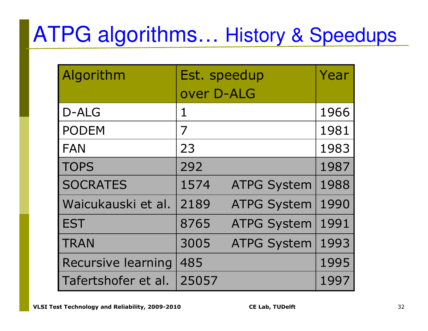# ATPG algorithms… History & Speedups

| Algorithm                 | Est. speedup | Year               |      |
|---------------------------|--------------|--------------------|------|
|                           | over D-ALG   |                    |      |
| D-ALG                     | 1            |                    | 1966 |
| <b>PODEM</b>              | 7            |                    | 1981 |
| <b>FAN</b>                | 23           |                    | 1983 |
| <b>TOPS</b>               | 292          |                    | 1987 |
| <b>SOCRATES</b>           | 1574         | <b>ATPG System</b> | 1988 |
| Waicukauski et al.        | 2189         | <b>ATPG System</b> | 1990 |
| <b>EST</b>                | 8765         | <b>ATPG System</b> | 1991 |
| <b>TRAN</b>               | 3005         | <b>ATPG System</b> | 1993 |
| <b>Recursive learning</b> | 485          |                    | 1995 |
| Tafertshofer et al.       | 25057        |                    | 1997 |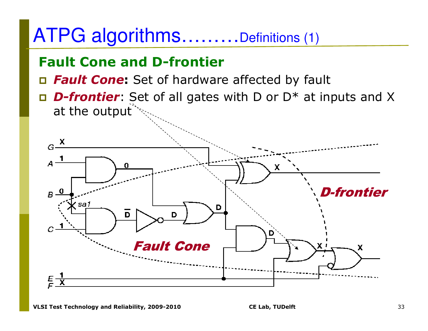### ATPG algorithms………Definitions (1)

#### **Fault Cone and D-frontier**

- *Fault Cone***:** Set of hardware affected by fault
- *D-frontier*: Set of all gates with D or D\* at inputs and X at the output

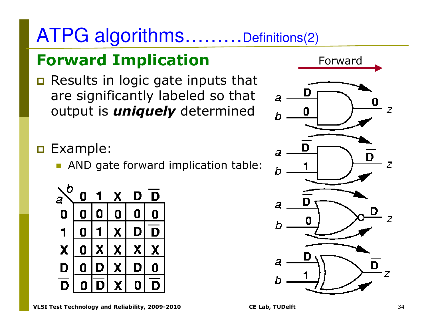### ATPG algorithms………Definitions(2)

### **Forward Implication**

 $\Box$  Results in logic gate inputs that are significantly labeled so that output is *uniquely* determined

**o** Example:

**• AND gate forward implication table:** 





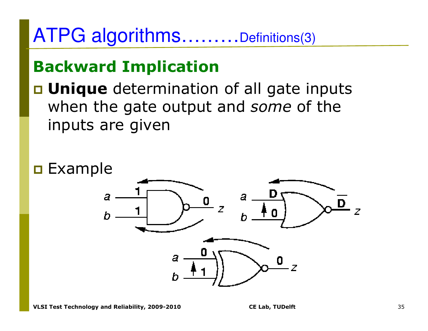### ATPG algorithms………Definitions(3)

#### **Backward Implication**

**u Unique** determination of all gate inputs when the gate output and *some* of the inputs are given

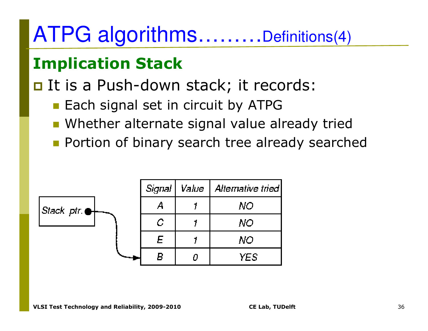### ATPG algorithms………Definitions(4)

### **Implication Stack**

### It is a Push-down stack; it records:

- **Each signal set in circuit by ATPG**
- **Whether alternate signal value already tried**
- **Portion of binary search tree already searched**

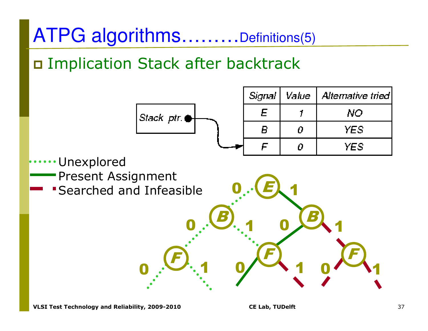### ATPG algorithms………Definitions(5)

Implication Stack after backtrack

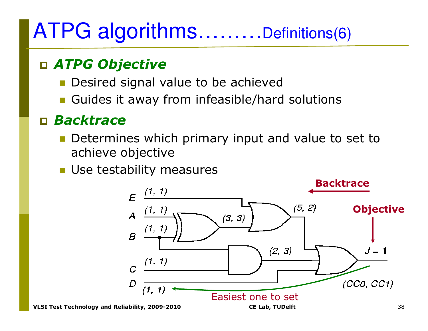## ATPG algorithms………Definitions(6)

#### *ATPG Objective*

- -Desired signal value to be achieved
- **E** Guides it away from infeasible/hard solutions

#### *Backtrace*

- **Determines which primary input and value to set to** achieve objective
- **Use testability measures**

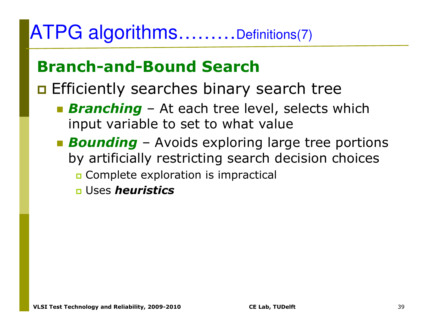### ATPG algorithms………Definitions(7)

#### **Branch-and-Bound Search**

## **Efficiently searches binary search tree**

- **Branching** At each tree level, selects which<br>innut variable to set to what value input variable to set to what value
- **Bounding** Avoids exploring large tree portions<br>hy artificially restricting search decision choices by artificially restricting search decision choices**O** Complete exploration is impractical
	- Uses *heuristics*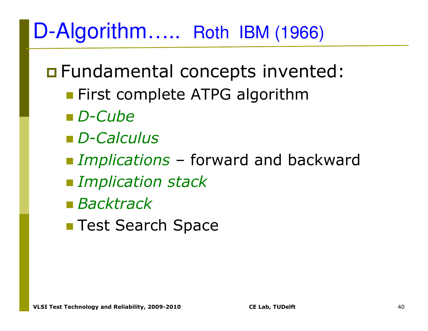## D-Algorithm….. Roth IBM (1966)

**O** Fundamental concepts invented:

- **Exercise First complete ATPG algorithm**
- *D-Cube*
- *D-Calculus*
- *Implications* forward and backward
- $\blacksquare$  *Implication stack*
- *Backtrack*
- **Test Search Space**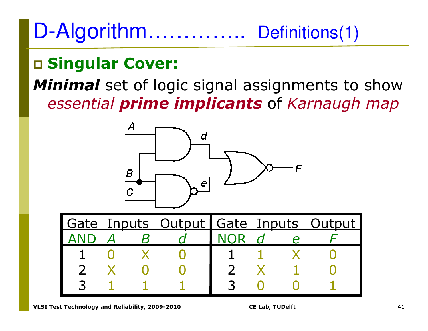### D-Algorithm………….. Definitions(1)

# **Singular Cover:**

### *Minimal* set of logic signal assignments to show *essential prime implicants* of *Karnaugh map*

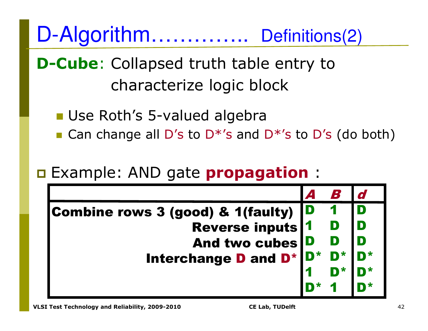D-Algorithm…………... Definitions(2)

**D-Cube**: Collapsed truth table entry to characterize logic block

■ Use Roth's 5-valued algebra

■ Can change all D's to D<sup>\*</sup>'s and D<sup>\*</sup>'s to D's (do both)

## Example: AND gate **propagation** :

| Combine rows 3 (good) & 1(faulty)                              | ID |  |
|----------------------------------------------------------------|----|--|
| <b>Reverse inputs 1</b>                                        |    |  |
| And two cubes D                                                |    |  |
| Interchange D and D <sup>*</sup> D <sup>*</sup> D <sup>*</sup> |    |  |
|                                                                |    |  |
|                                                                |    |  |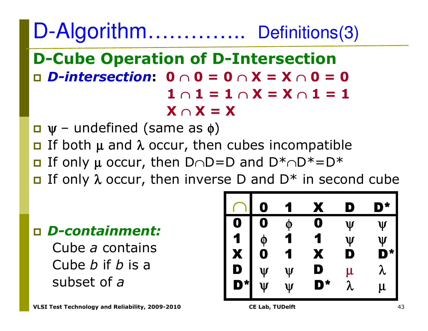D-Algorithm………….. Definitions(3)

#### **D-Cube Operation of D-Intersection** *D-intersection***: 0** <sup>∩</sup> **0 = 0** <sup>∩</sup> **X = X** <sup>∩</sup> **0 = 0 1** ∩ **1 = 1** <sup>∩</sup> **X = X** <sup>∩</sup> **1 = 1 X** ∩ **X = X**

- $\Box \Psi$  undefined (same as  $\phi$ )<br> $\Box$  If both u and 2 occur than
- If both  $\mu$  and  $\lambda$  occur, then cubes incompatible
- If only <sup>µ</sup> occur, then D∩D=D and D\*∩D\*=D\*
- If only <sup>λ</sup> occur, then inverse D and D\* in second cube

#### *D-containment:*

Cube *a* contains Cube *<sup>b</sup>*if *<sup>b</sup>*is a subset of*a*

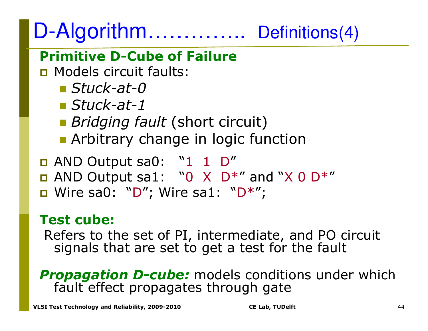#### D-Algorithm..... ....... Definitions(4)

#### **Primitive D-Cube of Failure**

**n** Models circuit faults:

- *Stuck-at-0*
- *Stuck-at-1*
- **Bridging fault (short circuit)**
- **E** Arbitrary change in logic function
- **n** AND Output sa0: "1 1 D"
- AND Output sa1: "0 X D\*" and "X 0 D\* "
- Wire sa0: " D"; Wire sa1: "D\*";

#### **Test cube:**

 Refers to the set of PI, intermediate, and PO circuit signals that are set to get a test for the fault

**Propagation D-cube:** models conditions under which fault effect propagates through gate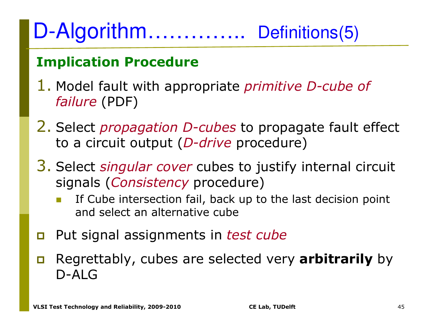#### D-Algorithm... ......... Definitions(5)

#### **Implication Procedure**

- 1. Model fault with appropriate *primitive D-cube of failure* (PDF)
- 2. Select *propagation D-cubes* to propagate fault effect to a circuit output (*D-drive* procedure)
- 3. Select *singular cover* cubes to justify internal circuit signals (*Consistency* procedure)
	- - If Cube intersection fail, back up to the last decision point and select an alternative cube
- $\Box$ Put signal assignments in *test cube*
- $\Box$  Regrettably, cubes are selected very **arbitrarily** by D-ALG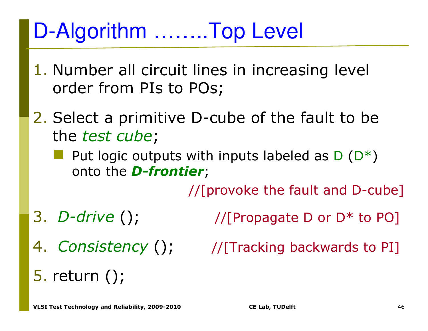## D-Algorithm ……..Top Level

- 1. Number all circuit lines in increasing level order from PIs to POs;
- 2. Select a primitive D-cube of the fault to be the *test cube*;
	- Put logic outputs with inputs labeled as  $D(D^*)$ <br>onto the **D-frontier**: onto the *D-frontier*;

//[provoke the fault and D-cube]

3. *D-drive*

- //[Propagate D or  $D^*$  to PO]
- 4. Consistency ();  $\qquad$  //[Tracking backwards to PI]
- 

5. return ();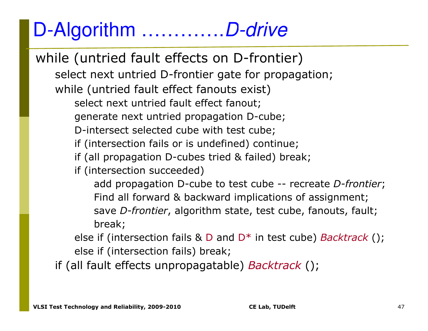### D-Algorithm ………….D-drive

while (untried fault effects on D-frontier)select next untried D-frontier gate for propagation;while (untried fault effect fanouts exist) select next untried fault effect fanout;generate next untried propagation D-cube;D-intersect selected cube with test cube;if (intersection fails or is undefined) continue;if (all propagation D-cubes tried & failed) break;if (intersection succeeded)add propagation D-cube to test cube -- recreate *D-frontier*;<br>Find all ferward <sup>8,</sup> backward implications of assignment: Find all forward & backward implications of assignment;save *D-frontier*, algorithm state, test cube, fanouts, fault;break;else if (intersection fails & D and D\* in test cube) *Backtrack* (); else if (intersection fails) break;

if (all fault effects unpropagatable) *Backtrack* ();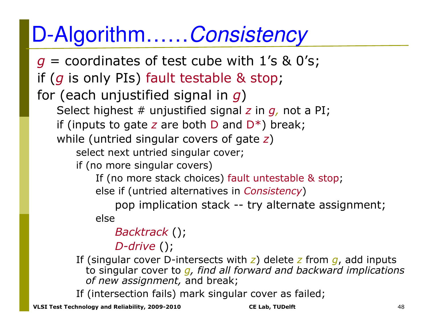## D-Algorithm……Consistency

*g* = coordinates of test cube with 1's & 0's; if (*g* is only PIs) fault testable & stop;for (each unjustified signal in *g*) Select highest # unjustified signal *z* in *g,* not a PI; if (inputs to gate *z* are both D and D\*) break; while (untried singular covers of gate *z*)select next untried singular cover;if (no more singular covers)If (no more stack choices) fault untestable & stop;<br>else if (untried alternatives in *Consistency*) else if (untried alternatives in *Consistency*) pop implication stack -- try alternate assignment; else*Backtrack* ();

*D-drive* ();

If (singular cover D-intersects with *z*) delete *z* from *g*, add inputs to singular cover to *g, find all forward and backward implications of new assignment,* and break;

If (intersection fails) mark singular cover as failed;

**VLSI Test Technology and Reliability, 2009-2010 CE Lab, TUDelft** <sup>48</sup>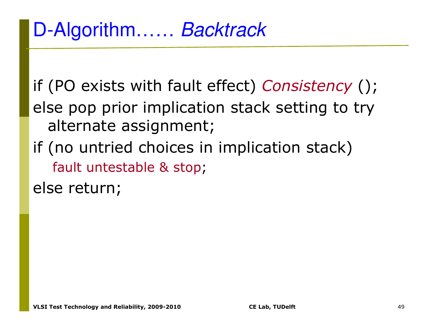if (PO exists with fault effect) *Consistency* (); else pop prior implication stack setting to try alternate assignment;

if (no untried choices in implication stack)fault untestable & stop ;

else return;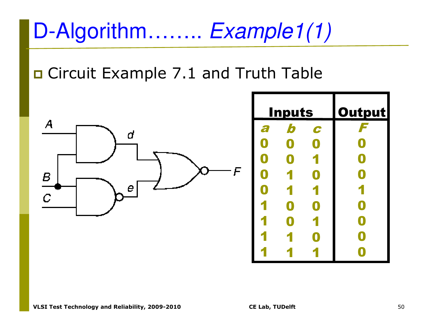# D-Algorithm…….. *Example1(1)*

### **O** Circuit Example 7.1 and Truth Table



| <u>Inputs</u>    |                           | <b>Output</b>    |                       |
|------------------|---------------------------|------------------|-----------------------|
| a                | $\boldsymbol{b}$          | C                | F                     |
| $\boldsymbol{0}$ | $\boldsymbol{\mathsf{Q}}$ | $\boldsymbol{0}$ | $\bullet$             |
| $\boldsymbol{0}$ | $\boldsymbol{0}$          |                  | $\boxed{\phantom{1}}$ |
| $\bullet$        | 1                         | $\boldsymbol{0}$ | $\bullet$             |
| $\boldsymbol{0}$ | 1                         | 1                | 1                     |
| 1                | $\boldsymbol{0}$          | $\boldsymbol{0}$ | $\boxed{\phantom{1}}$ |
| 1                | $\boldsymbol{0}$          |                  | $\boldsymbol{0}$      |
| 1                |                           | $\boxed{0}$      | $\bullet$             |
|                  |                           |                  |                       |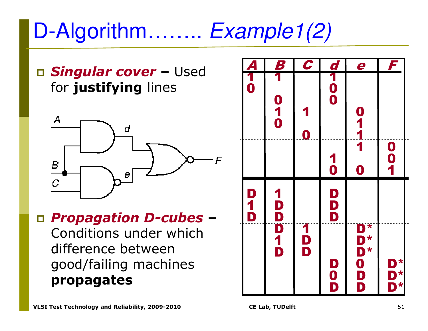# D-Algorithm…….. Example1(2)

 *Singular cover* **–**– Used<br>02 for **justifying** lines



 *Propagation D-cubes* **–**

Conditions under which difference between good/failing machines **propagates**

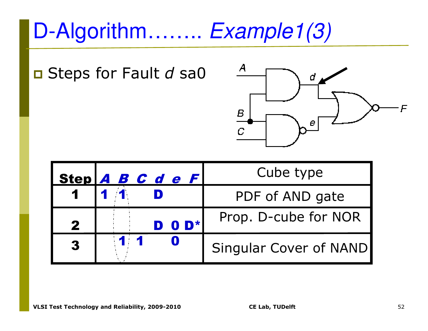# D-Algorithm…….. *Example1(3)*

■ Steps for Fault d sa0



|              | Step A B C d e F | Cube type              |
|--------------|------------------|------------------------|
| $\mathbf 1$  |                  | PDF of AND gate        |
| $\mathbf{2}$ | DOD*             | Prop. D-cube for NOR   |
| 3            | 11               | Singular Cover of NAND |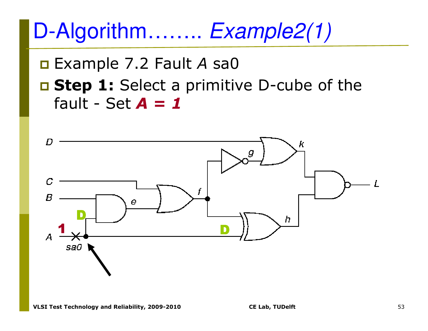D-Algorithm........ Example2(1)

**Example 7.2 Fault A sa0** 

**E Step 1:** Select a primitive D-cube of the fault - Set  $A = 1$ 

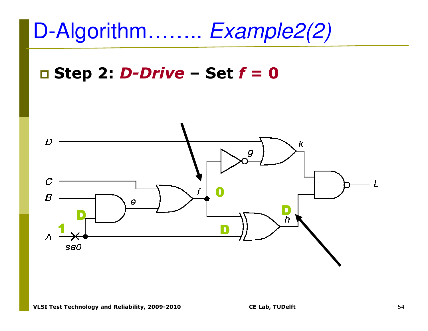

# **Step 2:** *D-Drive* **– Set** *f =*  **0**

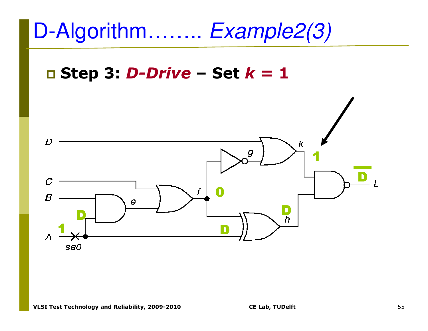# D-Algorithm…….. Example2(3)

# **Step 3:** *D-Drive* **– Set** *k =*  **1**

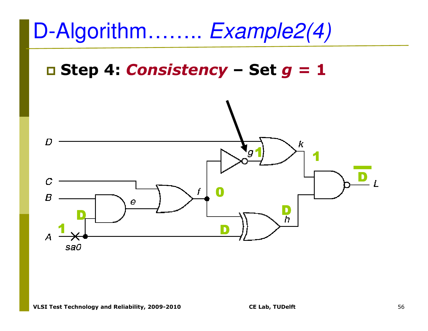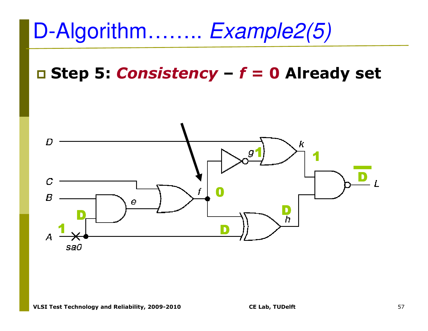# D-Algorithm…….. Example2(5)

#### **Step 5:** *Consistency* **–***f =*  **0 Already set**

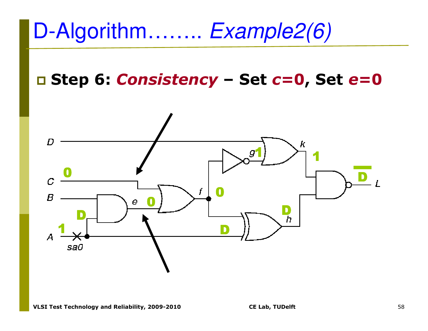# D-Algorithm…….. Example2(6)

# **Step 6:** *Consistency* **– Set** *c=* **0, Set***e***=0**

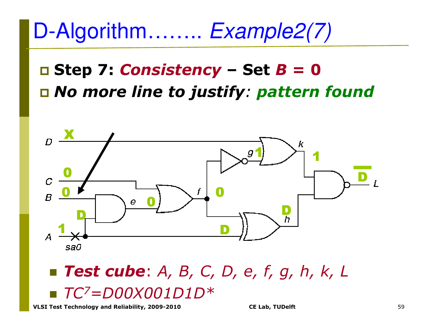## D-Algorithm…….. Example2(7)

### **Step 7:** *Consistency* **– Set** *B =*  **0***No more line to justify: pattern found*



#### - *Test cube*: *A, B, C, D, e, f, g, h, k, L* -*TC7=D00X001D1D\**

**VLSI Test Technology and Reliability, 2009-2010 CE Lab, TUDelft** <sup>59</sup>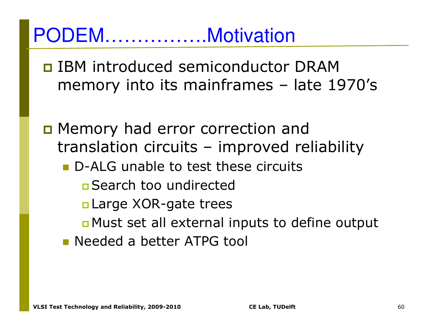### PODEM…………….Motivation

- **O IBM introduced semiconductor DRAM** memory into its mainframes – late 1970's
- **D** Memory had error correction and translation circuits – improved reliability
	- D-ALG unable to test these circuits
		- ■Search too undirected
		- n Large XOR-gate trees
		- n Must set all external inputs to define output
	- **Needed a better ATPG tool**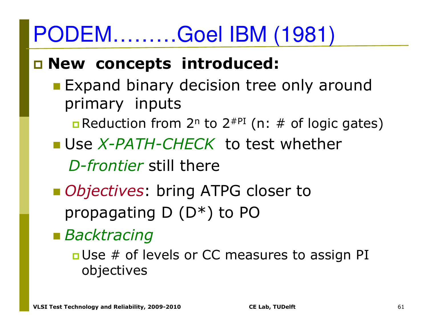# PODEM………Goel IBM (1981)

## **New concepts introduced:**

- **Expand binary decision tree only around Lines** primary inputs
	- **<u>n</u> Reduction from 2<sup>n</sup> to 2<sup>#PI</sup> (n: # of logic gates)**
- Use *X-PATH-CHECK* to test whether

*D-frontier* still there

- **n** *Objectives*: bring ATPG closer to propagating D (D\*) to PO
- *Backtracing*

**<u>D</u>**Use # of levels or CC measures to assign PI objectives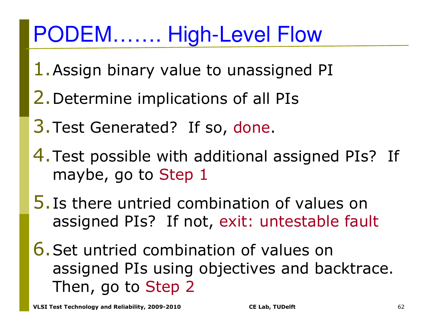# PODEM……. High-Level Flow

- 1.Assign binary value to unassigned PI
- 2.Determine implications of all PIs
- 3.Test Generated? If so, done.
- 4.Test possible with additional assigned PIs? If maybe, go to Step 1
- 5.Is there untried combination of values on assigned PIs? If not, exit: untestable fault
- 6.Set untried combination of values on assigned PIs using objectives and backtrace. Then, go to Step 2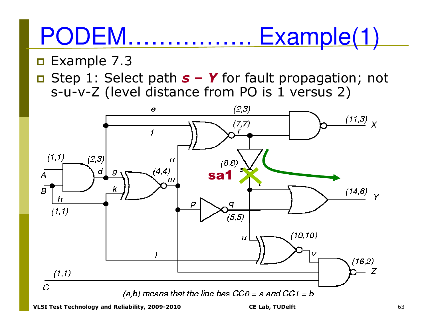#### **PODEM......** Example(1)

#### $\Box$  Example 7.3

Step 1: Select path  $s - Y$  for fault propagation; not s-u-v-Z (level distance from PO is 1 versus 2)

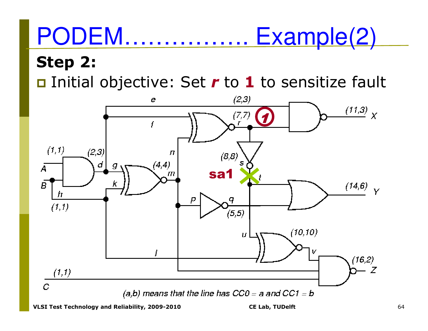#### **PODEM......** Example(2) **Step 2:**

□ Initial objective: Set *r* to 1 to sensitize fault

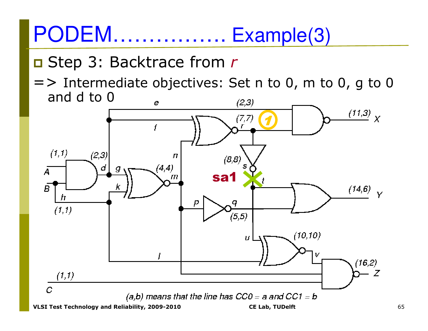# PODEM................ Example(3)

#### □ Step 3: Backtrace from r

 $\Rightarrow$  Intermediate objectives: Set n to 0, m to 0, g to 0 and d to 0

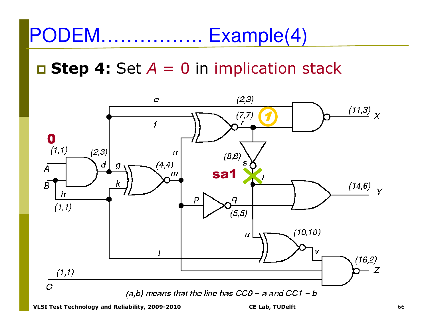#### PODEM...... Example(4)

#### $\Box$  **Step 4:** Set  $A = 0$  in implication stack

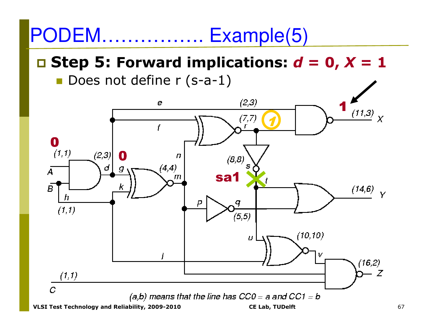#### PODEM.. Example(5)

#### **D** Step 5: Forward implications:  $d = 0$ ,  $X = 1$

Does not define r (s-a-1)

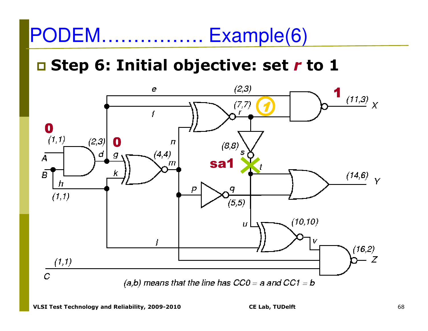#### PODEM...... Example(6)

#### □ Step 6: Initial objective: set r to 1

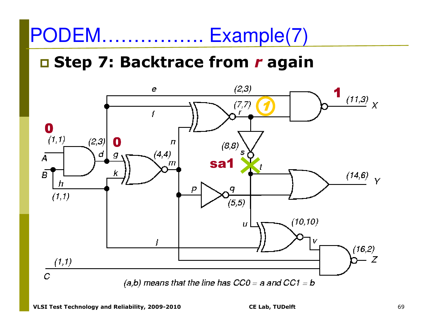#### **PODEM...** Example(7)

#### □ Step 7: Backtrace from r again

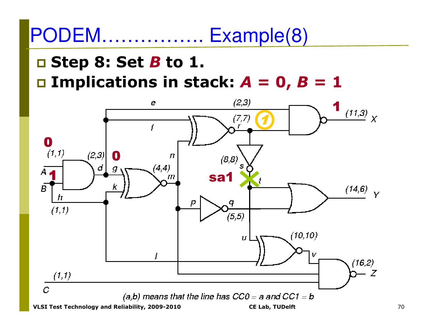#### PODEM.. Example(8)

#### $\Box$  Step 8: Set *B* to 1.

 $\Box$  **Implications in stack:**  $A = 0$ ,  $B = 1$ 

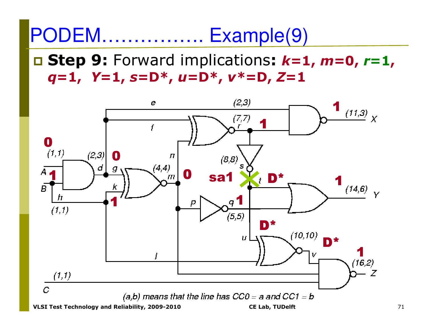#### PODEM.. Example(9)

#### $\Box$  **Step 9:** Forward implications:  $k=1$ ,  $m=0$ ,  $r=1$ ,  $q=1, Y=1, s=D^*, u=D^*, v^*=D, Z=1$

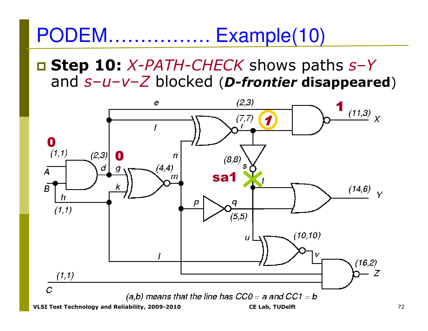PODEM...... Example(10)

**Step 10: X-PATH-CHECK shows paths s-Y** and  $s-u-v-Z$  blocked (*D-frontier* disappeared)

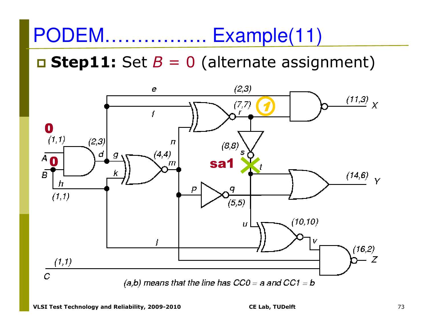#### PODEM....... Example(11)

#### $\Box$  **Step11:** Set  $B = 0$  (alternate assignment)

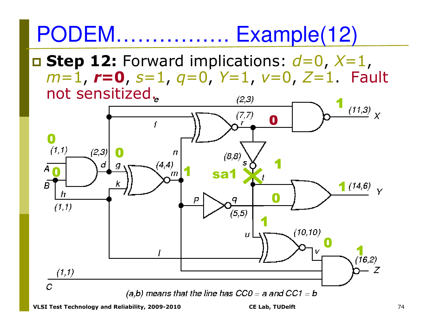# PODEM……………. Example(12)

 **Step 12:** Forward implications: *d*=0, *X*=1, *m*=1, *<sup>r</sup>***=0**, *s*=1, *q*=0, *Y*=1, *v*=0, *Z*=1. Fault not sensitized.

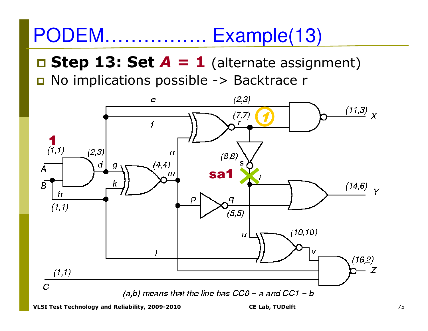#### **PODEM............** Example(13)

 $\Box$  **Step 13: Set**  $A = 1$  (alternate assignment) No implications possible -> Backtrace r

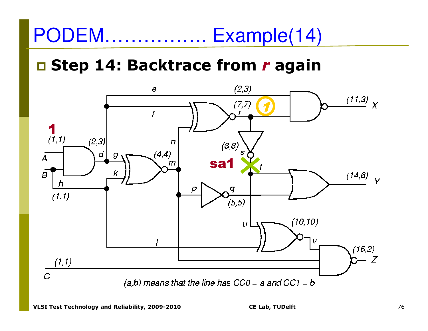#### PODEM....... Example(14)

#### □ Step 14: Backtrace from r again

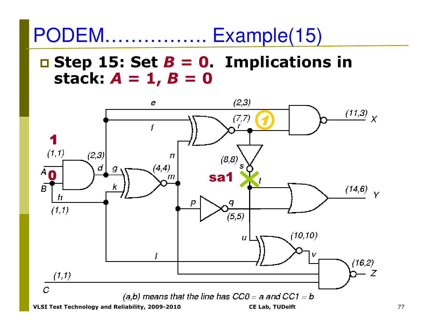**PODEM............** Example(15)

 $\Box$  **Step 15: Set B = 0. Implications in** stack:  $A = 1$ ,  $B = 0$ 

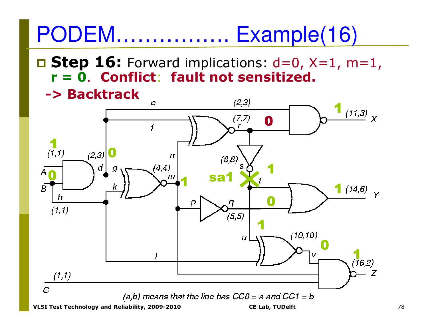# PODEM……………. Example(16)

- **Step 16:** Forward implications: d=0, X=1, m=1, **r = 0**. **Conflict**: **fault not sensitized.** 
	- **-> Backtrack**

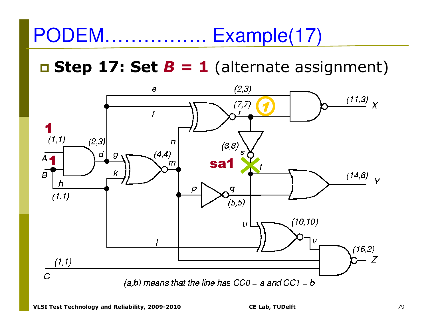#### $\Box$  **Step 17: Set B = 1** (alternate assignment)

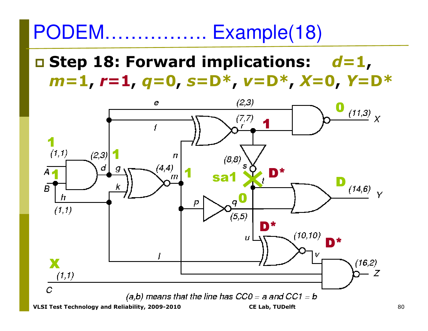#### **PODEM.............** Example(18)

### $\Box$  **Step 18: Forward implications:**  $d=1$ ,  $m=1$ ,  $r=1$ ,  $q=0$ ,  $s=D^*$ ,  $v=D^*$ ,  $X=0$ ,  $Y=D^*$

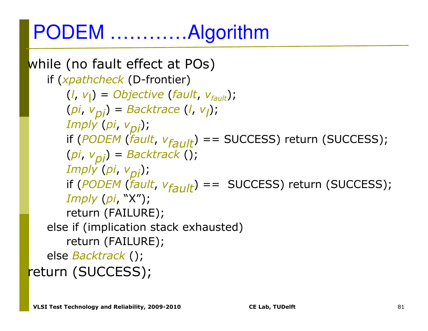## PODEM …………Algorithm

```
while (no fault effect at POs)if (xpathcheck (D-frontier)
       (l, vl) = Objective(fault, vfault);
(pi, 
vpi) = Backtrace
(l, 
                                vl);Imply(pi, vpi);

if (PODEM(fault, 
vfault) == SUCCESS) return (SUCCESS);
(pi, 
vpi) = Backtrack ();
       Imply(pi, vpi);

if (PODEM(fault, 
vfault) == SUCCESS) return (SUCCESS);
Imply(pi, "X");

return (FAILURE);
else if (implication stack exhausted)return (FAILURE);else Backtrack ();
return (SUCCESS);
```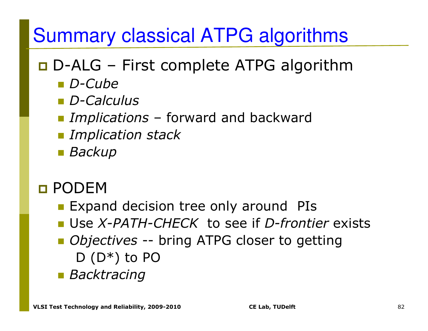## Summary classical ATPG algorithms

# **D-ALG** – First complete ATPG algorithm<br>D-Cube

- *D-Cube*
- *D-Calculus*
- *Implications* forward and backward
- -*Implication stack*
- *Backup*
- □ PODEM<br>—
	- **Expand decision tree only around PIs**
	- Use *X-PATH-CHECK* to see if *D-frontier* exists
	- *Objectives* -- bring ATPG closer to getting  $D(D^*)$  to PO
	- *Backtracing*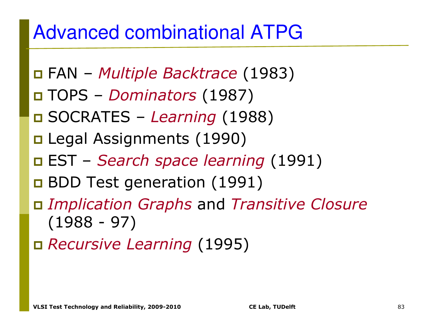## Advanced combinational ATPG

- FAN *Multiple Backtrace* (1983)
- TOPS *Dominators* (1987)
- SOCRATES *Learning* (1988)
- Legal Assignments (1990)
- EST *Search space learning* (1991)
- **BDD Test generation (1991)**
- *Implication Graphs* and *Transitive Closure* (1988 - 97)
- *Recursive Learning* (1995)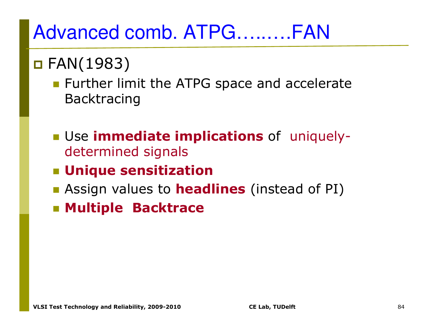## Advanced comb. ATPG…..….FAN

# FAN(1983)

- **EXTERG** Further limit the ATPG space and accelerate Backtracing
- Use **immediate implications** of uniquelydetermined signals
- **Unique sensitization**
- **E** Assign values to **headlines** (instead of PI)
- **Multiple Backtrace**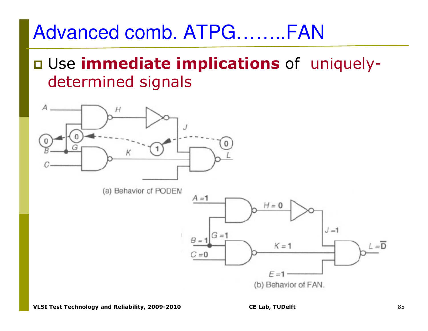### **u** Use immediate implications of uniquelydetermined signals

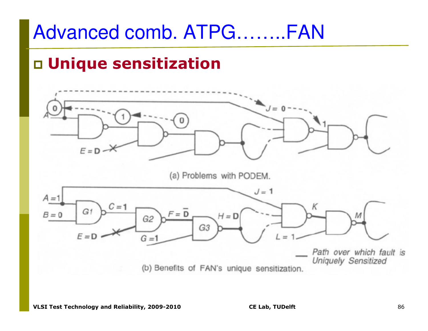### □ Unique sensitization

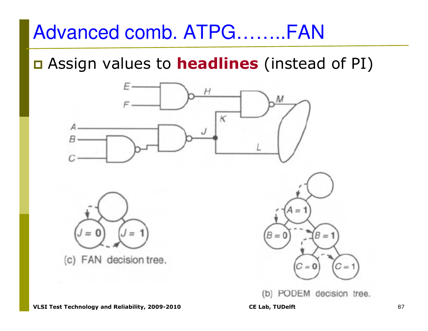a Assign values to **headlines** (instead of PI)



(b) PODEM decision tree.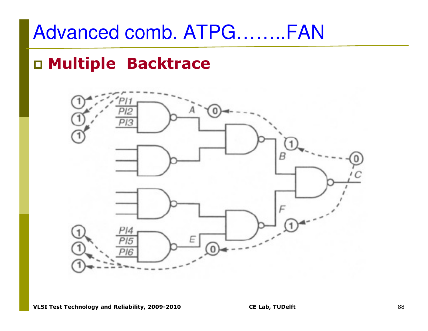#### □ Multiple Backtrace